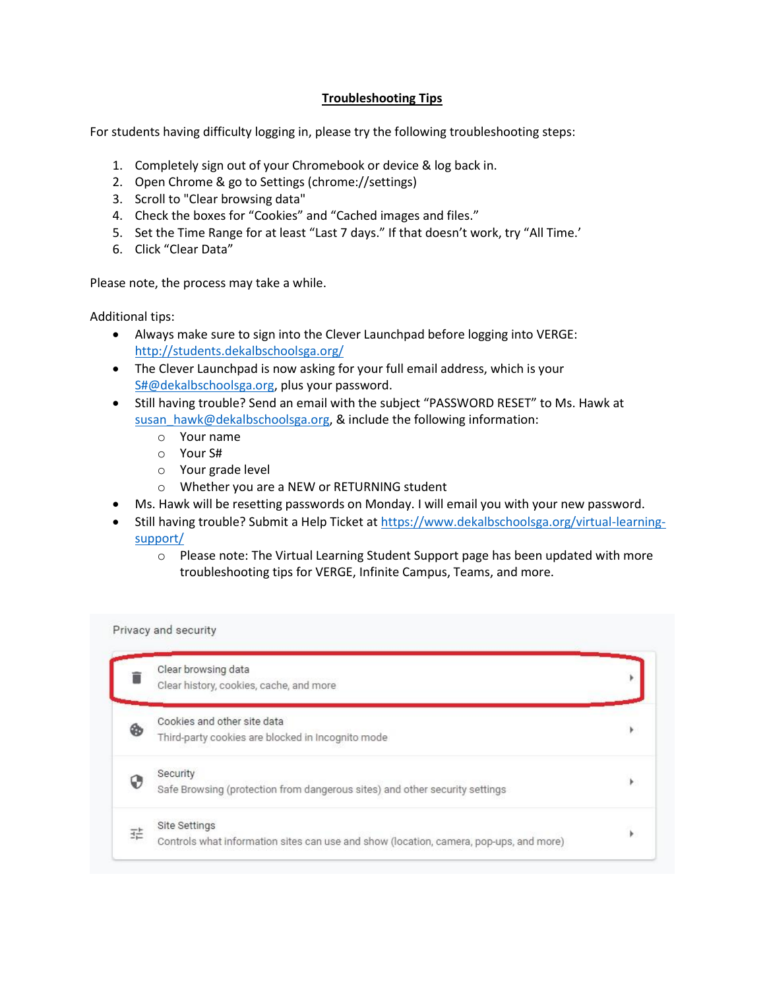## **Troubleshooting Tips**

For students having difficulty logging in, please try the following troubleshooting steps:

- 1. Completely sign out of your Chromebook or device & log back in.
- 2. Open Chrome & go to Settings (chrome://settings)
- 3. Scroll to "Clear browsing data"
- 4. Check the boxes for "Cookies" and "Cached images and files."
- 5. Set the Time Range for at least "Last 7 days." If that doesn't work, try "All Time.'
- 6. Click "Clear Data"

Please note, the process may take a while.

Additional tips:

- Always make sure to sign into the Clever Launchpad before logging into VERGE: <http://students.dekalbschoolsga.org/>
- The Clever Launchpad is now asking for your full email address, which is your [S#@dekalbschoolsga.org,](mailto:S#@dekalbschoolsga.org) plus your password.
- Still having trouble? Send an email with the subject "PASSWORD RESET" to Ms. Hawk at [susan\\_hawk@dekalbschoolsga.org,](mailto:susan_hawk@dekalbschoolsga.org) & include the following information:
	- o Your name
	- o Your S#
	- o Your grade level
	- o Whether you are a NEW or RETURNING student
- Ms. Hawk will be resetting passwords on Monday. I will email you with your new password.
- Still having trouble? Submit a Help Ticket at [https://www.dekalbschoolsga.org/virtual-learning](https://www.dekalbschoolsga.org/virtual-learning-support/)[support/](https://www.dekalbschoolsga.org/virtual-learning-support/)
	- $\circ$  Please note: The Virtual Learning Student Support page has been updated with more troubleshooting tips for VERGE, Infinite Campus, Teams, and more.

|   | Clear browsing data<br>Clear history, cookies, cache, and more                                          |   |
|---|---------------------------------------------------------------------------------------------------------|---|
| ⊛ | Cookies and other site data<br>Third-party cookies are blocked in Incognito mode                        |   |
| ⊕ | Security<br>Safe Browsing (protection from dangerous sites) and other security settings                 | ٠ |
| 굪 | Site Settings<br>Controls what information sites can use and show (location, camera, pop-ups, and more) |   |